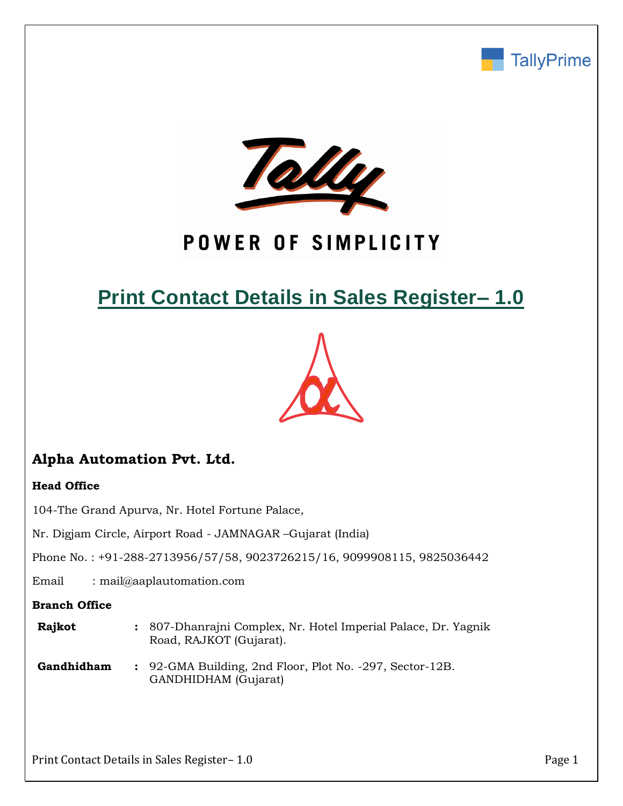



# POWER OF SIMPLICITY

# **Print Contact Details in Sales Register– 1.0**



# **Alpha Automation Pvt. Ltd.**

## **Head Office**

104-The Grand Apurva, Nr. Hotel Fortune Palace,

Nr. Digjam Circle, Airport Road - JAMNAGAR –Gujarat (India)

Phone No. : +91-288-2713956/57/58, 9023726215/16, 9099908115, 9825036442

Email : mail@aaplautomation.com

## **Branch Office**

| <b>Rajkot</b> | : 807-Dhanrajni Complex, Nr. Hotel Imperial Palace, Dr. Yagnik |
|---------------|----------------------------------------------------------------|
|               | Road, RAJKOT (Gujarat).                                        |

**Gandhidham :** 92-GMA Building, 2nd Floor, Plot No. -297, Sector-12B. GANDHIDHAM (Gujarat)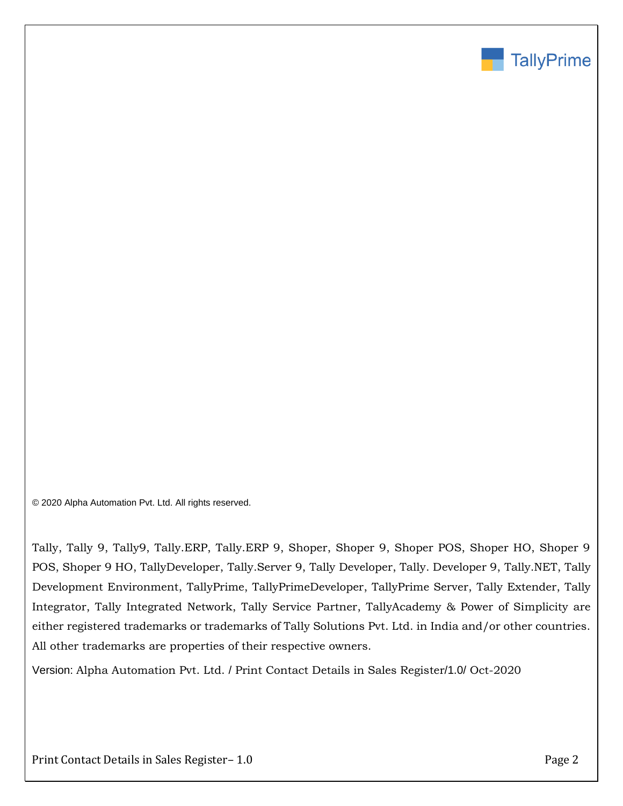

© 2020 Alpha Automation Pvt. Ltd. All rights reserved.

Tally, Tally 9, Tally9, Tally.ERP, Tally.ERP 9, Shoper, Shoper 9, Shoper POS, Shoper HO, Shoper 9 POS, Shoper 9 HO, TallyDeveloper, Tally.Server 9, Tally Developer, Tally. Developer 9, Tally.NET, Tally Development Environment, TallyPrime, TallyPrimeDeveloper, TallyPrime Server, Tally Extender, Tally Integrator, Tally Integrated Network, Tally Service Partner, TallyAcademy & Power of Simplicity are either registered trademarks or trademarks of Tally Solutions Pvt. Ltd. in India and/or other countries. All other trademarks are properties of their respective owners.

Version: Alpha Automation Pvt. Ltd. / Print Contact Details in Sales Register/1.0/ Oct-2020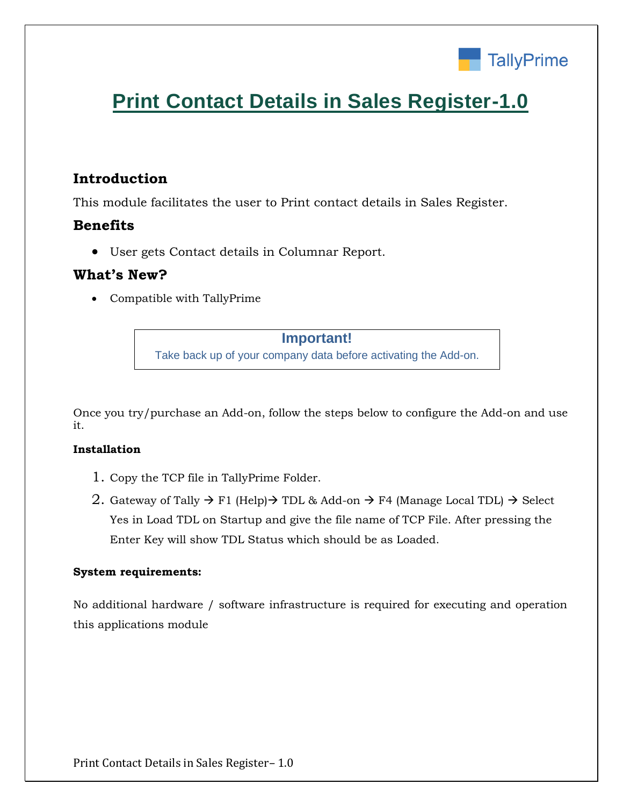

# **Print Contact Details in Sales Register-1.0**

## **Introduction**

This module facilitates the user to Print contact details in Sales Register.

## **Benefits**

• User gets Contact details in Columnar Report.

## **What's New?**

• Compatible with TallyPrime

## **Important!**

Take back up of your company data before activating the Add-on.

Once you try/purchase an Add-on, follow the steps below to configure the Add-on and use it.

### **Installation**

- 1. Copy the TCP file in TallyPrime Folder.
- 2. Gateway of Tally  $\rightarrow$  F1 (Help) $\rightarrow$  TDL & Add-on  $\rightarrow$  F4 (Manage Local TDL)  $\rightarrow$  Select Yes in Load TDL on Startup and give the file name of TCP File. After pressing the Enter Key will show TDL Status which should be as Loaded.

### **System requirements:**

No additional hardware / software infrastructure is required for executing and operation this applications module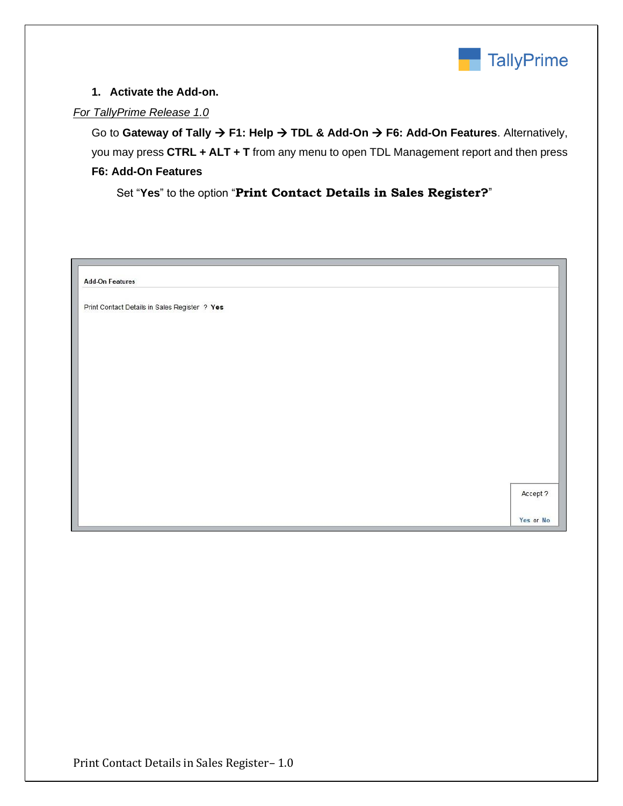

### **1. Activate the Add-on.**

### *For TallyPrime Release 1.0*

Go to **Gateway of Tally** → **F1: Help** → **TDL & Add-On** → **F6: Add-On Features**. Alternatively, you may press **CTRL + ALT + T** from any menu to open TDL Management report and then press **F6: Add-On Features**

Set "**Yes**" to the option "**Print Contact Details in Sales Register?**"

| <b>Add-On Features</b>                        |          |
|-----------------------------------------------|----------|
| Print Contact Details in Sales Register ? Yes |          |
|                                               |          |
|                                               |          |
|                                               |          |
|                                               |          |
|                                               |          |
|                                               |          |
|                                               |          |
|                                               |          |
|                                               |          |
|                                               | Accept ? |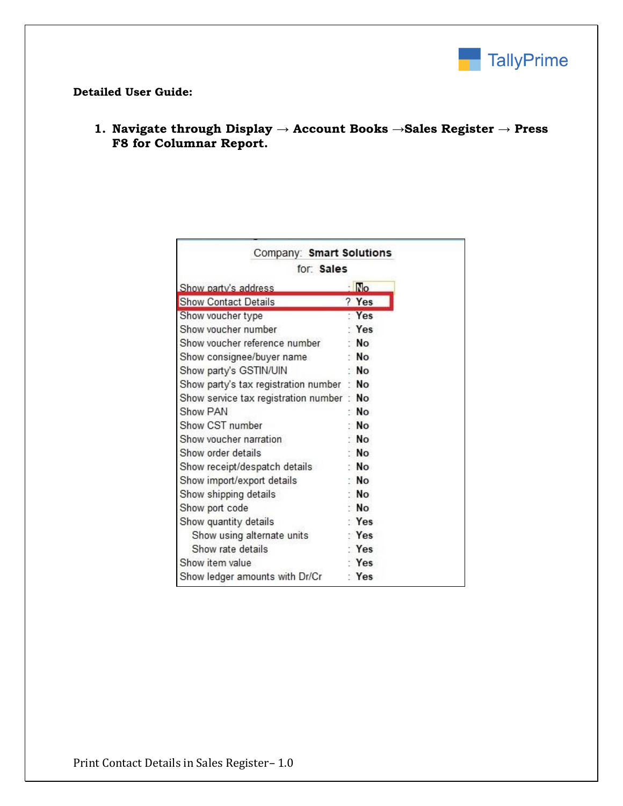

#### **Detailed User Guide:**

**1. Navigate through Display → Account Books →Sales Register → Press F8 for Columnar Report.**

| Company: Smart Solutions              |                |
|---------------------------------------|----------------|
| for Sales                             |                |
| Show party's address                  | $\blacksquare$ |
| <b>Show Contact Details</b>           | ? Yes          |
| Show voucher type                     | Yes            |
| Show voucher number                   | Yes            |
| Show voucher reference number         | <b>No</b>      |
| Show consignee/buyer name             | : No           |
| Show party's GSTIN/UIN                | No             |
| Show party's tax registration number  | : No           |
| Show service tax registration number: | No             |
| Show PAN                              | N <sub>O</sub> |
| Show CST number                       | No             |
| Show voucher narration                | <b>No</b>      |
| Show order details                    | <b>No</b>      |
| Show receipt/despatch details         | N <sub>O</sub> |
| Show import/export details            | <b>No</b>      |
| Show shipping details                 | <b>No</b>      |
| Show port code                        | <b>No</b>      |
| Show quantity details                 | Yes            |
| Show using alternate units            | Yes            |
| Show rate details                     | Yes            |
| Show item value                       | Yes            |
| Show ledger amounts with Dr/Cr        | : Yes          |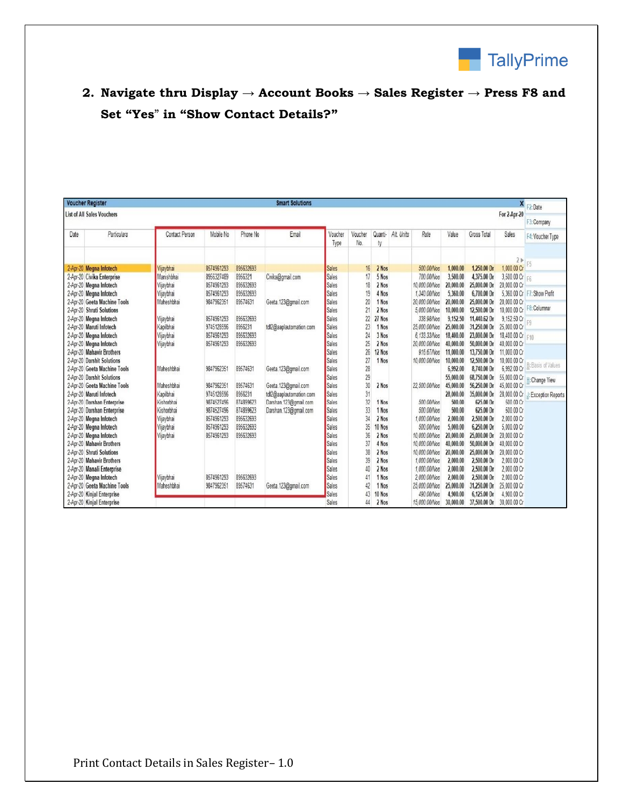

# **2. Navigate thru Display → Account Books → Sales Register → Press F8 and Set "Yes**" **in "Show Contact Details?"**

| <b>Voucher Register</b><br><b>Smart Solutions</b><br><b>List of All Sales Vouchers</b> |                              |                |            |           |                         |                 |                |               |           |               |              | F <sub>2</sub> : Date<br>F3: Company |                  |                        |
|----------------------------------------------------------------------------------------|------------------------------|----------------|------------|-----------|-------------------------|-----------------|----------------|---------------|-----------|---------------|--------------|--------------------------------------|------------------|------------------------|
|                                                                                        |                              |                |            |           |                         |                 |                |               |           |               | For 2-Apr-20 |                                      |                  |                        |
| Date                                                                                   | Particulars                  | Contact Person | Mobile No. | Phone No  | Email                   | Voucher<br>Type | Voucher<br>No. | Quanti-<br>ty | Alt Units | Rate          | Value        | Gross Total                          | Sales            | F4: Voucher Type       |
|                                                                                        |                              |                |            |           |                         |                 |                |               |           |               |              |                                      |                  |                        |
|                                                                                        |                              |                |            |           |                         |                 |                |               |           |               |              |                                      | 2 <sub>b</sub>   |                        |
|                                                                                        | 2-Apr-20 Meana Infotech      | Vijaybhai      | 8574961293 | 895632693 |                         | Sales           | 16             | 2 Nos         |           | 500.00/Nos    | 1.000.00     | 1.250.00 Dr                          | 1,000.00 Cr      |                        |
|                                                                                        | 2-Apr-20 Civika Enterprise   | Manishbhai     | 8956327489 | 8956321   | Civika@gmail.com        | Sales           | 17             | 5 Nos         |           | 700.00/Nos    | 3,500.00     | 4.375.00 Dr                          | 3,500.00 Cr      | E <sub>R</sub>         |
|                                                                                        | 2-Apr-20 Megna Infotech      | Vijaybhai      | 8574961293 | 895632693 |                         | Sales           | 18             | 2 Nos         |           | 10.000.00/Nos | 20,000.00    | 25,000.00 Dr                         | 20.000.00 Cr     |                        |
|                                                                                        | 2-Apr-20 Megna Infotech      | Vijaybhai      | 8574961293 | 895632693 |                         | Sales           | 19             | 4 Nos         |           | 1.340.00/Nos  | 5,360.00     | 6.700.00 Dr                          | 5.360.00 Cr      | F7: Show Profit        |
|                                                                                        | 2-Apr-20 Geeta Machine Tools | Maheshbhai     | 984796235  | 89574631  | Geeta.123@gmail.com     | Sales           | 20             | 1 Nos         |           | 20,000.00/Nos | 20,000.00    | 25,000.00 Dr                         | 20.000.00 Cr     |                        |
|                                                                                        | 2-Apr-20 Shruti Solutions    |                |            |           |                         | Sales           | 21             | 2 Nos         |           | 5.000.00/Nos  | 10,000.00    | 12,500.00 Dr                         | 10,000.00 Cr     | F8: Columnar           |
|                                                                                        | 2-Apr-20 Megna Infotech      | Vijaybhai      | 8574961293 | 895632693 |                         | Sales           | 22             | 27 Nos        |           | 338.98/Nos    | 9,152.50     | 11.440.62 Dr                         | 9.152.50 Cr      |                        |
|                                                                                        | 2-Apr-20 Maruti Infotech     | Kapilbhai      | 9745128596 | 8956231   | tdl2@aaplautomation.com | Sales           | 23             | 1 Nos         |           | 25,000,00/Nos | 25,000.00    | 31.250.00 Dr                         | 25,000.00 Cr     |                        |
|                                                                                        | 2-Apr-20 Megna Infotech      | Vijaybhai      | 8574961293 | 895632693 |                         | Sales           | 24             | 3 Nos         |           | 6.133.33/Nos  | 18,400.00    | 23,000.00 Dr                         | 18,400.00 Cr F10 |                        |
|                                                                                        | 2-Apr-20 Megna Infotech      | Vijaybhai      | 8574961293 | 895632693 |                         | Sales           | 25             | 2 Nos         |           | 20,000.00/Nos | 40,000.00    | 50,000.00 Dr                         | 40.000.00 Cr     |                        |
|                                                                                        | 2-Apr-20 Mahavir Brothers    |                |            |           |                         | Sales           | 26             | 12 Nos        |           | 916.67/Nos    | 11,000.00    | 13,750.00 Dr                         | 11,000.00 Cr     |                        |
|                                                                                        | 2-Apr-20 Darshit Solutions   |                |            |           |                         | Sales           | 27             | 1 Nos         |           | 10,000.00/Nos | 10,000.00    | 12,500.00 Dr                         | 10,000.00 Cr     | <b>Basis of Values</b> |
|                                                                                        | 2-Apr-20 Geeta Machine Tools | Maheshbhai     | 984796235  | 89574631  | Geeta.123@gmail.com     | Sales           | 28             |               |           |               | 6.992.00     | 8.740.00 Dr                          | 6.992.00 Cr      |                        |
|                                                                                        | 2-Apr-20 Darshit Solutions   |                |            |           |                         | Sales           | 29             |               |           |               | 55,000.00    | 68,750.00 Dr                         | 55,000.00 Cr     | H: Change View         |
|                                                                                        | 2-Apr-20 Geeta Machine Tools | Maheshbhai     | 984796235  | 89574631  | Geeta.123@gmail.com     | Sales           | 30             | 2 Nos         |           | 22,500.00/Nos | 45,000.00    | 56,250.00 Dr                         | 45,000.00 Cr     |                        |
|                                                                                        | 2-Apr-20 Maruti Infotech     | Kapilbhai      | 9745128596 | 8956231   | tdl2@aaplautomation.com | Sales           | 31             |               |           |               | 28,000.00    | 35,000.00 Dr                         | 28.000.00 Cr     | J: Exception Reports   |
|                                                                                        | 2-Apr-20 Darshan Enterprise  | Kishorbhai     | 9874527496 | 874899623 | Darshan.123@gmail.com   | Sales           | 32             | 1 Nos         |           | 500.00/Nos    | 500.00       | 625.00 Dr                            | 500.00 Cr        |                        |
|                                                                                        | 2-Apr-20 Darshan Enterprise  | Kishorbhai     | 9874527496 | 874899623 | Darshan. 123@gmail.com  | Sales           | 33             | 1 Nos         |           | 500.00/Nos    | 500.00       | 625.00 Dr                            | 500.00 Cr        |                        |
|                                                                                        | 2-Apr-20 Megna Infotech      | Vijaybhai      | 8574961293 | 895632693 |                         | Sales           | 34             | 2 Nos         |           | 1.000.00/Nos  | 2,000.00     | 2.500.00 Dr                          | 2.000.00 Cr      |                        |
|                                                                                        | 2-Apr-20 Megna Infotech      | Vijaybhai      | 8574961293 | 895632693 |                         | Sales           | 35             | 10 Nos        |           | 500.00/Nos    | 5.000.00     | 6.250.00 Dr                          | 5.000.00 Cr      |                        |
|                                                                                        | 2-Apr-20 Megna Infotech      | Viiavbhai      | 8574961293 | 895632693 |                         | Sales           | 36             | 2 Nos         |           | 10.000.00/Nos | 20,000.00    | 25,000.00 Dr                         | 20,000.00 Cr     |                        |
|                                                                                        | 2-Apr-20 Mahavir Brothers    |                |            |           |                         | Sales           | 37             | 4 Nos         |           | 10.000.00/Nos | 40,000.00    | 50,000.00 Dr                         | 40.000.00 Cr     |                        |
|                                                                                        | 2-Apr-20 Shruti Solutions    |                |            |           |                         | Sales           | 38             | 2 Nos         |           | 10.000.00/Nos | 20,000.00    | 25,000.00 Dr                         | 20.000.00 Cr     |                        |
|                                                                                        | 2-Apr-20 Mahavir Brothers    |                |            |           |                         | Sales           | 39             | 2 Nos         |           | 1,000.00/Nos  | 2,000.00     | 2,500.00 Dr                          | 2.000.00 Cr      |                        |
|                                                                                        | 2-Apr-20 Manali Enterprise   |                |            |           |                         | Sales           | 40             | 2 Nos         |           | 1,000.00/Nos  | 2.000.00     | 2,500.00 Dr                          | 2.000.00 Cr      |                        |
|                                                                                        | 2-Apr-20 Meana Infotech      | Vijaybhai      | 8574961293 | 895632693 |                         | Sales           |                | 1 Nos         |           | 2.000.00/Nos  | 2.000.00     | 2,500.00 Dr                          | 2.000.00 Cr      |                        |
|                                                                                        | 2-Apr-20 Geeta Machine Tools | Maheshbhai     | 984796235  | 89574631  | Geeta.123@gmail.com     | Sales           | 42             | 1 Nos         |           | 25,000.00/Nos | 25,000.00    | 31.250.00 Dr                         | 25,000.00 Cr     |                        |
|                                                                                        | 2-Apr-20 Kinjal Enterprise   |                |            |           |                         | Sales           | 43             | 10 Nos        |           | 490.00/Nos    | 4.900.00     | 6.125.00 Dr                          | 4.900.00 Cr      |                        |
|                                                                                        | 2-Apr-20 Kinjal Enterprise   |                |            |           |                         | Sales           | 44             | 2 Nos         |           | 15.000.00/Nos | 30,000.00    | 37,500.00 Dr                         | 30.000.00 Cr     |                        |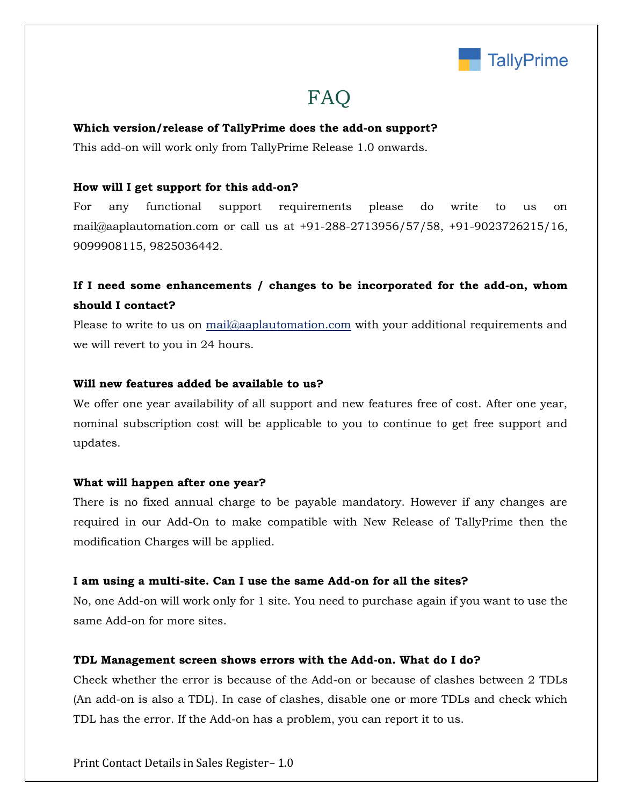

# FAQ

#### **Which version/release of TallyPrime does the add-on support?**

This add-on will work only from TallyPrime Release 1.0 onwards.

#### **How will I get support for this add-on?**

For any functional support requirements please do write to us on mail@aaplautomation.com or call us at +91-288-2713956/57/58, +91-9023726215/16, 9099908115, 9825036442.

## **If I need some enhancements / changes to be incorporated for the add-on, whom should I contact?**

Please to write to us on mail@aaplautomation.com with your additional requirements and we will revert to you in 24 hours.

#### **Will new features added be available to us?**

We offer one year availability of all support and new features free of cost. After one year, nominal subscription cost will be applicable to you to continue to get free support and updates.

#### **What will happen after one year?**

There is no fixed annual charge to be payable mandatory. However if any changes are required in our Add-On to make compatible with New Release of TallyPrime then the modification Charges will be applied.

#### **I am using a multi-site. Can I use the same Add-on for all the sites?**

No, one Add-on will work only for 1 site. You need to purchase again if you want to use the same Add-on for more sites.

#### **TDL Management screen shows errors with the Add-on. What do I do?**

Check whether the error is because of the Add-on or because of clashes between 2 TDLs (An add-on is also a TDL). In case of clashes, disable one or more TDLs and check which TDL has the error. If the Add-on has a problem, you can report it to us.